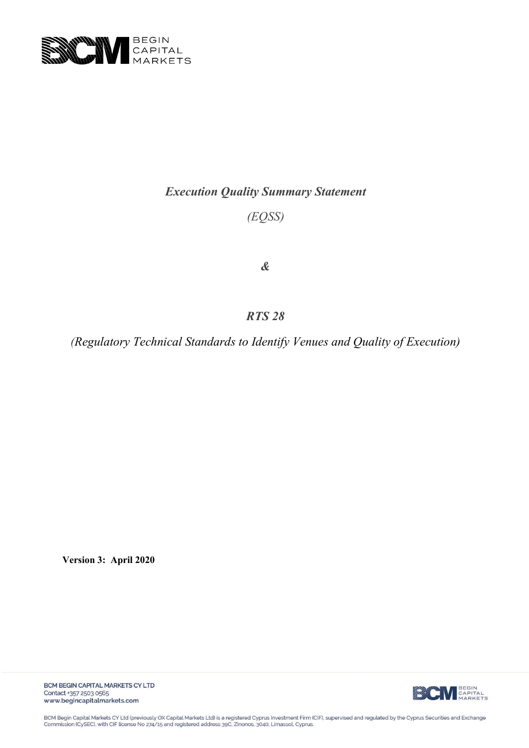

# *Execution Quality Summary Statement*

*(EQSS)*

*&*

*RTS 28*

*(Regulatory Technical Standards to Identify Venues and Quality of Execution)*

**Version 3: April 2020**



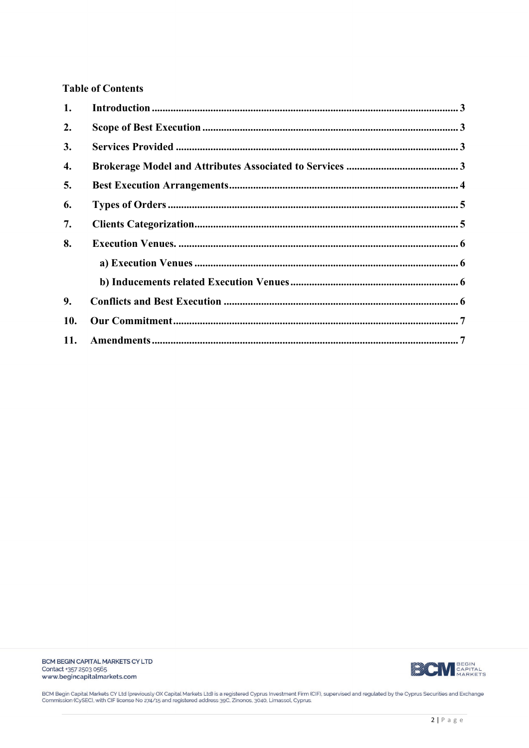# **Table of Contents**

| 1.  |  |
|-----|--|
| 2.  |  |
| 3.  |  |
| 4.  |  |
| 5.  |  |
| 6.  |  |
| 7.  |  |
| 8.  |  |
|     |  |
|     |  |
| 9.  |  |
| 10. |  |
| 11. |  |



BCM Begin Capital Markets CY Ltd (previously OX Capital Markets Ltd) is a registered Cyprus Investment Firm (CIF), supervised and regulated by the Cyprus Securities and Exchange<br>Commission (CySEC), with CIF license No 274/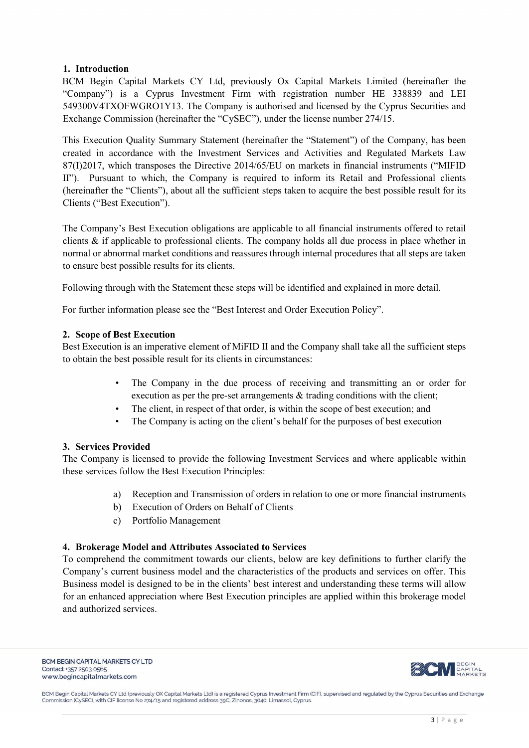# <span id="page-2-0"></span>**1. Introduction**

BCM Begin Capital Markets CY Ltd, previously Ox Capital Markets Limited (hereinafter the "Company") is a Cyprus Investment Firm with registration number HE 338839 and LEI 549300V4TXOFWGRO1Y13. The Company is authorised and licensed by the Cyprus Securities and Exchange Commission (hereinafter the "CySEC"), under the license number 274/15.

This Execution Quality Summary Statement (hereinafter the "Statement") of the Company, has been created in accordance with the Investment Services and Activities and Regulated Markets Law 87(I)2017, which transposes the Directive 2014/65/EU on markets in financial instruments ("MIFID II"). Pursuant to which, the Company is required to inform its Retail and Professional clients (hereinafter the "Clients"), about all the sufficient steps taken to acquire the best possible result for its Clients ("Best Execution").

The Company's Best Execution obligations are applicable to all financial instruments offered to retail clients & if applicable to professional clients. The company holds all due process in place whether in normal or abnormal market conditions and reassures through internal procedures that all steps are taken to ensure best possible results for its clients.

Following through with the Statement these steps will be identified and explained in more detail.

For further information please see the "Best Interest and Order Execution Policy".

# <span id="page-2-1"></span>**2. Scope of Best Execution**

Best Execution is an imperative element of MiFID II and the Company shall take all the sufficient steps to obtain the best possible result for its clients in circumstances:

- The Company in the due process of receiving and transmitting an or order for execution as per the pre-set arrangements & trading conditions with the client;
- The client, in respect of that order, is within the scope of best execution; and
- The Company is acting on the client's behalf for the purposes of best execution

# <span id="page-2-2"></span>**3. Services Provided**

The Company is licensed to provide the following Investment Services and where applicable within these services follow the Best Execution Principles:

- a) Reception and Transmission of orders in relation to one or more financial instruments
- b) Execution of Orders on Behalf of Clients
- c) Portfolio Management

# <span id="page-2-3"></span>**4. Brokerage Model and Attributes Associated to Services**

To comprehend the commitment towards our clients, below are key definitions to further clarify the Company's current business model and the characteristics of the products and services on offer. This Business model is designed to be in the clients' best interest and understanding these terms will allow for an enhanced appreciation where Best Execution principles are applied within this brokerage model and authorized services.

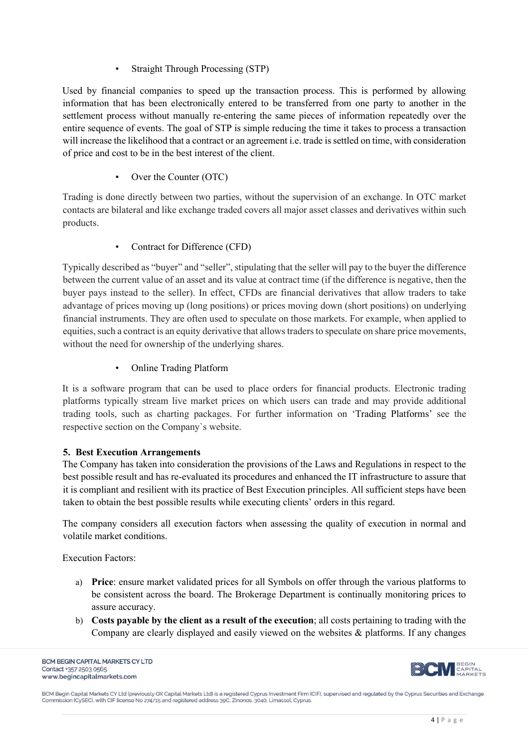# • Straight Through Processing (STP)

Used by financial companies to speed up the transaction process. This is performed by allowing information that has been electronically entered to be transferred from one party to another in the settlement process without manually re-entering the same pieces of information repeatedly over the entire sequence of events. The goal of STP is simple reducing the time it takes to process a transaction will increase the likelihood that a contract or an agreement i.e. trade is settled on time, with consideration of price and cost to be in the best interest of the client.

Over the Counter (OTC)

Trading is done directly between two parties, without the supervision of an exchange. In OTC market contacts are bilateral and like exchange traded covers all major asset classes and derivatives within such products.

• Contract for Difference (CFD)

Typically described as "buyer" and "seller", stipulating that the seller will pay to the buyer the difference between the current value of an asset and its value at contract time (if the difference is negative, then the buyer pays instead to the seller). In effect, CFDs are financial derivatives that allow traders to take advantage of prices moving up (long positions) or prices moving down (short positions) on underlying financial instruments. They are often used to speculate on those markets. For example, when applied to equities, such a contract is an equity derivative that allows traders to speculate on share price movements, without the need for ownership of the underlying shares.

• Online Trading Platform

It is a software program that can be used to place orders for financial products. Electronic trading platforms typically stream live market prices on which users can trade and may provide additional trading tools, such as charting packages. For further information on 'Trading Platforms' see the respective section on the Company`s website.

# <span id="page-3-0"></span>**5. Best Execution Arrangements**

The Company has taken into consideration the provisions of the Laws and Regulations in respect to the best possible result and has re-evaluated its procedures and enhanced the IT infrastructure to assure that it is compliant and resilient with its practice of Best Execution principles. All sufficient steps have been taken to obtain the best possible results while executing clients' orders in this regard.

The company considers all execution factors when assessing the quality of execution in normal and volatile market conditions.

Execution Factors:

- a) **Price**: ensure market validated prices for all Symbols on offer through the various platforms to be consistent across the board. The Brokerage Department is continually monitoring prices to assure accuracy.
- b) **Costs payable by the client as a result of the execution**; all costs pertaining to trading with the Company are clearly displayed and easily viewed on the websites & platforms. If any changes

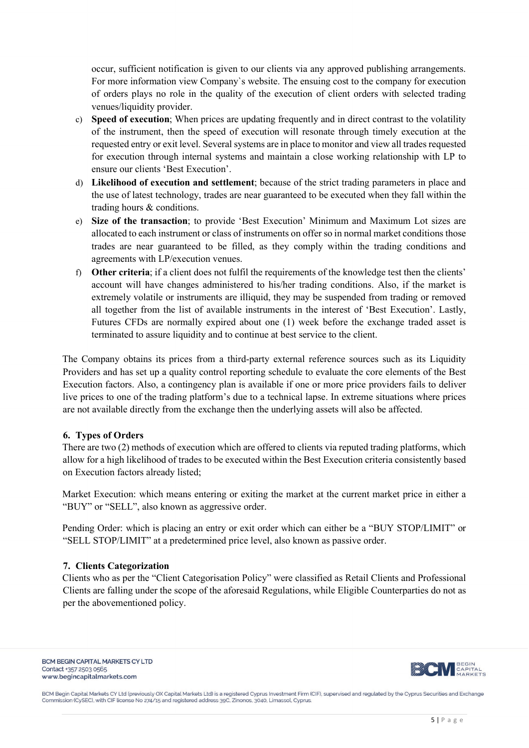occur, sufficient notification is given to our clients via any approved publishing arrangements. For more information view Company`s website. The ensuing cost to the company for execution of orders plays no role in the quality of the execution of client orders with selected trading venues/liquidity provider.

- c) **Speed of execution**; When prices are updating frequently and in direct contrast to the volatility of the instrument, then the speed of execution will resonate through timely execution at the requested entry or exit level. Several systems are in place to monitor and view all trades requested for execution through internal systems and maintain a close working relationship with LP to ensure our clients 'Best Execution'.
- d) **Likelihood of execution and settlement**; because of the strict trading parameters in place and the use of latest technology, trades are near guaranteed to be executed when they fall within the trading hours & conditions.
- e) **Size of the transaction**; to provide 'Best Execution' Minimum and Maximum Lot sizes are allocated to each instrument or class of instruments on offer so in normal market conditions those trades are near guaranteed to be filled, as they comply within the trading conditions and agreements with LP/execution venues.
- f) **Other criteria**; if a client does not fulfil the requirements of the knowledge test then the clients' account will have changes administered to his/her trading conditions. Also, if the market is extremely volatile or instruments are illiquid, they may be suspended from trading or removed all together from the list of available instruments in the interest of 'Best Execution'. Lastly, Futures CFDs are normally expired about one (1) week before the exchange traded asset is terminated to assure liquidity and to continue at best service to the client.

The Company obtains its prices from a third-party external reference sources such as its Liquidity Providers and has set up a quality control reporting schedule to evaluate the core elements of the Best Execution factors. Also, a contingency plan is available if one or more price providers fails to deliver live prices to one of the trading platform's due to a technical lapse. In extreme situations where prices are not available directly from the exchange then the underlying assets will also be affected.

# <span id="page-4-0"></span>**6. Types of Orders**

There are two (2) methods of execution which are offered to clients via reputed trading platforms, which allow for a high likelihood of trades to be executed within the Best Execution criteria consistently based on Execution factors already listed;

Market Execution: which means entering or exiting the market at the current market price in either a "BUY" or "SELL", also known as aggressive order.

Pending Order: which is placing an entry or exit order which can either be a "BUY STOP/LIMIT" or "SELL STOP/LIMIT" at a predetermined price level, also known as passive order.

#### <span id="page-4-1"></span>**7. Clients Categorization**

Clients who as per the "Client Categorisation Policy" were classified as Retail Clients and Professional Clients are falling under the scope of the aforesaid Regulations, while Eligible Counterparties do not as per the abovementioned policy.

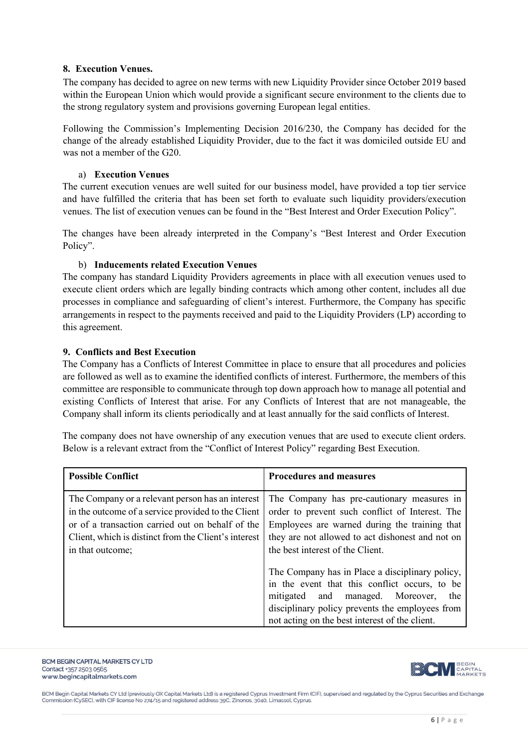# <span id="page-5-0"></span>**8. Execution Venues.**

The company has decided to agree on new terms with new Liquidity Provider since October 2019 based within the European Union which would provide a significant secure environment to the clients due to the strong regulatory system and provisions governing European legal entities.

Following the Commission's Implementing Decision 2016/230, the Company has decided for the change of the already established Liquidity Provider, due to the fact it was domiciled outside EU and was not a member of the G20.

#### a) **Execution Venues**

<span id="page-5-1"></span>The current execution venues are well suited for our business model, have provided a top tier service and have fulfilled the criteria that has been set forth to evaluate such liquidity providers/execution venues. The list of execution venues can be found in the "Best Interest and Order Execution Policy".

The changes have been already interpreted in the Company's "Best Interest and Order Execution Policy".

#### b) **Inducements related Execution Venues**

<span id="page-5-2"></span>The company has standard Liquidity Providers agreements in place with all execution venues used to execute client orders which are legally binding contracts which among other content, includes all due processes in compliance and safeguarding of client's interest. Furthermore, the Company has specific arrangements in respect to the payments received and paid to the Liquidity Providers (LP) according to this agreement.

#### <span id="page-5-3"></span>**9. Conflicts and Best Execution**

The Company has a Conflicts of Interest Committee in place to ensure that all procedures and policies are followed as well as to examine the identified conflicts of interest. Furthermore, the members of this committee are responsible to communicate through top down approach how to manage all potential and existing Conflicts of Interest that arise. For any Conflicts of Interest that are not manageable, the Company shall inform its clients periodically and at least annually for the said conflicts of Interest.

The company does not have ownership of any execution venues that are used to execute client orders. Below is a relevant extract from the "Conflict of Interest Policy" regarding Best Execution.

| <b>Possible Conflict</b>                                                                                                                                                                                                               | <b>Procedures and measures</b>                                                                                                                                                                                                                   |  |  |  |
|----------------------------------------------------------------------------------------------------------------------------------------------------------------------------------------------------------------------------------------|--------------------------------------------------------------------------------------------------------------------------------------------------------------------------------------------------------------------------------------------------|--|--|--|
| The Company or a relevant person has an interest<br>in the outcome of a service provided to the Client<br>or of a transaction carried out on behalf of the<br>Client, which is distinct from the Client's interest<br>in that outcome; | The Company has pre-cautionary measures in<br>order to prevent such conflict of Interest. The<br>Employees are warned during the training that<br>they are not allowed to act dishonest and not on<br>the best interest of the Client.           |  |  |  |
|                                                                                                                                                                                                                                        | The Company has in Place a disciplinary policy,<br>in the event that this conflict occurs, to be<br>mitigated and managed. Moreover,<br>the<br>disciplinary policy prevents the employees from<br>not acting on the best interest of the client. |  |  |  |

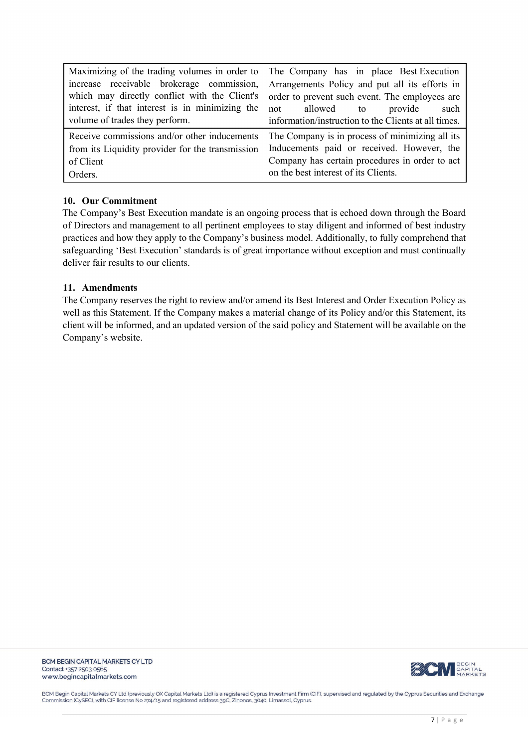| Maximizing of the trading volumes in order to    | The Company has in place Best Execution              |  |  |  |  |
|--------------------------------------------------|------------------------------------------------------|--|--|--|--|
| increase receivable brokerage commission,        | Arrangements Policy and put all its efforts in       |  |  |  |  |
| which may directly conflict with the Client's    | order to prevent such event. The employees are       |  |  |  |  |
| interest, if that interest is in minimizing the  | not allowed to<br>provide<br>such                    |  |  |  |  |
| volume of trades they perform.                   | information/instruction to the Clients at all times. |  |  |  |  |
| Receive commissions and/or other inducements     | The Company is in process of minimizing all its      |  |  |  |  |
| from its Liquidity provider for the transmission | Inducements paid or received. However, the           |  |  |  |  |
| of Client                                        | Company has certain procedures in order to act       |  |  |  |  |
| Orders.                                          | on the best interest of its Clients.                 |  |  |  |  |

#### <span id="page-6-0"></span>**10. Our Commitment**

The Company's Best Execution mandate is an ongoing process that is echoed down through the Board of Directors and management to all pertinent employees to stay diligent and informed of best industry practices and how they apply to the Company's business model. Additionally, to fully comprehend that safeguarding 'Best Execution' standards is of great importance without exception and must continually deliver fair results to our clients.

#### <span id="page-6-1"></span>**11. Amendments**

The Company reserves the right to review and/or amend its Best Interest and Order Execution Policy as well as this Statement. If the Company makes a material change of its Policy and/or this Statement, its client will be informed, and an updated version of the said policy and Statement will be available on the Company's website.



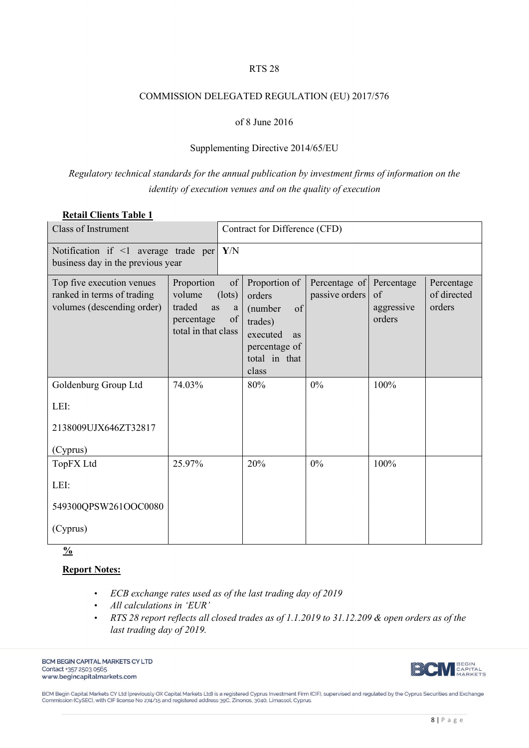#### RTS 28

#### COMMISSION DELEGATED REGULATION (EU) 2017/576

### of 8 June 2016

#### Supplementing Directive 2014/65/EU

# *Regulatory technical standards for the annual publication by investment firms of information on the identity of execution venues and on the quality of execution*

# **Retail Clients Table 1**

| <b>Class of Instrument</b>                                                            |                                                                           |                                  | Contract for Difference (CFD)                                                                                    |                                 |                                          |                                     |  |
|---------------------------------------------------------------------------------------|---------------------------------------------------------------------------|----------------------------------|------------------------------------------------------------------------------------------------------------------|---------------------------------|------------------------------------------|-------------------------------------|--|
| Notification if $\leq 1$ average trade per Y/N<br>business day in the previous year   |                                                                           |                                  |                                                                                                                  |                                 |                                          |                                     |  |
| Top five execution venues<br>ranked in terms of trading<br>volumes (descending order) | Proportion<br>volume<br>traded<br>as<br>percentage<br>total in that class | of<br>$(\text{lots})$<br>a<br>of | Proportion of<br>orders<br>(number<br>of<br>trades)<br>executed<br>as<br>percentage of<br>total in that<br>class | Percentage of<br>passive orders | Percentage<br>of<br>aggressive<br>orders | Percentage<br>of directed<br>orders |  |
| Goldenburg Group Ltd                                                                  | 74.03%                                                                    |                                  | 80%                                                                                                              | 0%                              | 100%                                     |                                     |  |
| LEI:                                                                                  |                                                                           |                                  |                                                                                                                  |                                 |                                          |                                     |  |
| 2138009UJX646ZT32817                                                                  |                                                                           |                                  |                                                                                                                  |                                 |                                          |                                     |  |
| (Cyprus)                                                                              |                                                                           |                                  |                                                                                                                  |                                 |                                          |                                     |  |
| TopFX Ltd                                                                             | 25.97%                                                                    |                                  | 20%                                                                                                              | 0%                              | 100%                                     |                                     |  |
| LEI:                                                                                  |                                                                           |                                  |                                                                                                                  |                                 |                                          |                                     |  |
| 549300QPSW261OOC0080                                                                  |                                                                           |                                  |                                                                                                                  |                                 |                                          |                                     |  |
| (Cyprus)                                                                              |                                                                           |                                  |                                                                                                                  |                                 |                                          |                                     |  |

**%**

# **Report Notes:**

- *ECB exchange rates used as of the last trading day of 2019*
- *All calculations in 'EUR'*
- *RTS 28 report reflects all closed trades as of 1.1.2019 to 31.12.209 & open orders as of the last trading day of 2019.*

BCM BEGIN CAPITAL MARKETS CY LTD Contact +357 2503 0565 www.begincapitalmarkets.com



BCM Begin Capital Markets CY Ltd (previously OX Capital Markets Ltd) is a registered Cyprus Investment Firm (CIF), supervised and regulated by the Cyprus Securities and Exchange<br>Commission (CySEC), with CIF license No 274/